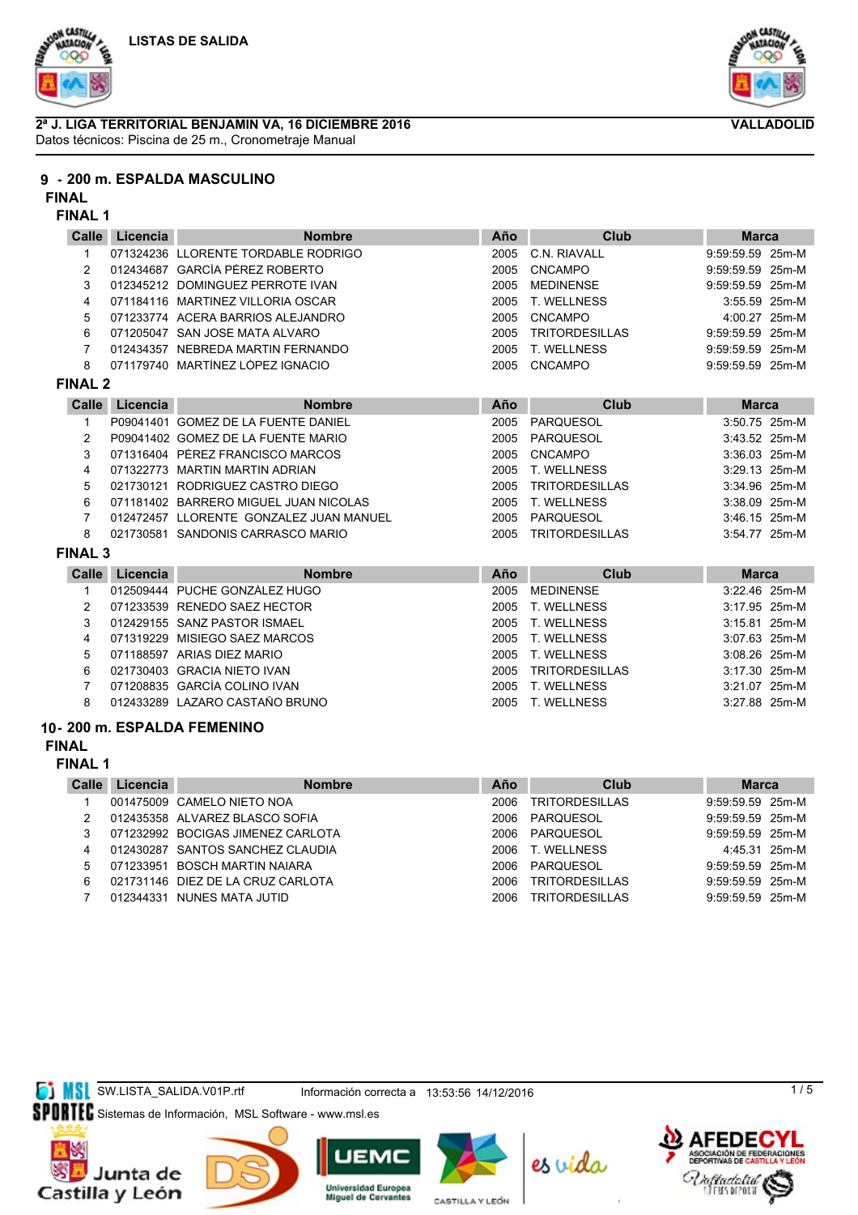



### **2ª J. LIGA TERRITORIAL BENJAMIN VA, 16 DICIEMBRE 2016** Datos técnicos: Piscina de 25 m., Cronometraje Manual



#### **FINAL**

#### **FINAL 1**

| Calle          | Licencia                  | <b>Nombre</b>                           | Año  | Club                  | <b>Marca</b>     |  |
|----------------|---------------------------|-----------------------------------------|------|-----------------------|------------------|--|
| $\mathbf{1}$   |                           | 071324236 LLORENTE TORDABLE RODRIGO     | 2005 | C.N. RIAVALL          | 9:59:59.59 25m-M |  |
| 2              |                           | 012434687 GARCÍA PÉREZ ROBERTO          | 2005 | <b>CNCAMPO</b>        | 9:59:59.59 25m-M |  |
| 3              |                           | 012345212 DOMINGUEZ PERROTE IVAN        | 2005 | <b>MEDINENSE</b>      | 9:59:59.59 25m-M |  |
| 4              |                           | 071184116 MARTINEZ VILLORIA OSCAR       | 2005 | T. WELLNESS           | 3:55.59 25m-M    |  |
| 5              |                           | 071233774 ACERA BARRIOS ALEJANDRO       | 2005 | CNCAMPO               | 4:00.27 25m-M    |  |
| 6              |                           | 071205047 SAN JOSE MATA ALVARO          | 2005 | <b>TRITORDESILLAS</b> | 9:59:59.59 25m-M |  |
| $\overline{7}$ |                           | 012434357 NEBREDA MARTIN FERNANDO       | 2005 | T. WELLNESS           | 9:59:59.59 25m-M |  |
| 8              |                           | 071179740 MARTÍNEZ LÓPEZ IGNACIO        | 2005 | <b>CNCAMPO</b>        | 9:59:59.59 25m-M |  |
| <b>FINAL 2</b> |                           |                                         |      |                       |                  |  |
| Calle          | Licencia<br><b>Nombre</b> |                                         | Año  | Club                  | <b>Marca</b>     |  |
| $\mathbf{1}$   |                           | P09041401 GOMEZ DE LA FUENTE DANIEL     | 2005 | <b>PARQUESOL</b>      | 3:50.75 25m-M    |  |
| 2              |                           | P09041402 GOMEZ DE LA FUENTE MARIO      | 2005 | <b>PARQUESOL</b>      | 3:43.52 25m-M    |  |
| 3              |                           | 071316404 PÉREZ FRANCISCO MARCOS        | 2005 | <b>CNCAMPO</b>        | 3:36.03 25m-M    |  |
| 4              |                           | 071322773 MARTIN MARTIN ADRIAN          | 2005 | T. WELLNESS           | 3:29.13 25m-M    |  |
| 5              |                           | 021730121 RODRIGUEZ CASTRO DIEGO        | 2005 | <b>TRITORDESILLAS</b> | 3:34.96 25m-M    |  |
| 6              |                           | 071181402 BARRERO MIGUEL JUAN NICOLAS   | 2005 | T. WELLNESS           | 3:38.09 25m-M    |  |
| $\overline{7}$ |                           | 012472457 LLORENTE GONZALEZ JUAN MANUEL | 2005 | PARQUESOL             | 3:46.15 25m-M    |  |
| 8              |                           | 021730581 SANDONIS CARRASCO MARIO       | 2005 | <b>TRITORDESILLAS</b> | 3:54.77 25m-M    |  |
| <b>FINAL 3</b> |                           |                                         |      |                       |                  |  |
| Calle          | Licencia                  | <b>Nombre</b>                           | Año  | Club                  | <b>Marca</b>     |  |
| 1              |                           | 012509444 PUCHE GONZÁLEZ HUGO           | 2005 | <b>MEDINENSE</b>      | 3:22.46 25m-M    |  |
| $\overline{2}$ |                           | 071233539 RENEDO SAEZ HECTOR            | 2005 | T. WELLNESS           | 3:17.95 25m-M    |  |
| 3              |                           | 012429155 SANZ PASTOR ISMAEL            | 2005 | <b>T. WELLNESS</b>    | 3:15.81 25m-M    |  |
| 4              |                           | 071319229 MISIEGO SAEZ MARCOS           | 2005 | <b>T. WELLNESS</b>    | 3:07.63 25m-M    |  |
| 5              |                           | 071188597 ARIAS DIEZ MARIO              | 2005 | T. WELLNESS           | 3:08.26 25m-M    |  |
| 6              |                           | 021730403 GRACIA NIETO IVAN             | 2005 | <b>TRITORDESILLAS</b> | 3:17.30 25m-M    |  |
| 7              |                           | 071208835 GARCÍA COLINO IVAN            | 2005 | T. WELLNESS           | 3:21.07 25m-M    |  |
| 8              |                           | 012433289 LAZARO CASTAÑO BRUNO          | 2005 | T. WELLNESS           | 3:27.88 25m-M    |  |
|                |                           | 10- 200 m. ESPALDA FEMENINO             |      |                       |                  |  |

## **FINAL**

**FINAL 1**

| Calle | Licencia  | <b>Nombre</b>                     | Año  | Club                  | <b>Marca</b>       |  |
|-------|-----------|-----------------------------------|------|-----------------------|--------------------|--|
|       |           | 001475009 CAMELO NIETO NOA        | 2006 | <b>TRITORDESILLAS</b> | $9:59:59.59$ 25m-M |  |
|       |           | 012435358 ALVAREZ BLASCO SOFIA    | 2006 | PARQUESOL             | $9:59:59.59$ 25m-M |  |
|       |           | 071232992 BOCIGAS JIMENEZ CARLOTA | 2006 | PARQUESOL             | $9:59:59.59$ 25m-M |  |
| 4     |           | 012430287 SANTOS SANCHEZ CLAUDIA  | 2006 | T. WELLNESS           | 4:45.31 25m-M      |  |
|       | 071233951 | BOSCH MARTIN NAIARA               | 2006 | PARQUESOL             | $9:59:59.59$ 25m-M |  |
| 6     |           | 021731146 DIEZ DE LA CRUZ CARLOTA | 2006 | <b>TRITORDESILLAS</b> | $9:59:59.59$ 25m-M |  |
|       |           | 012344331 NUNES MATA JUTID        | 2006 | <b>TRITORDESILLAS</b> | $9:59:59.59$ 25m-M |  |

**SI MSL** SW.LISTA\_SALIDA.V01P.rtf Información correcta a 13:53:56 14/12/2016

SPORTEC Sistemas de Información, MSL Software - www.msl.es













 $1/5$ 



**VALLADOLID**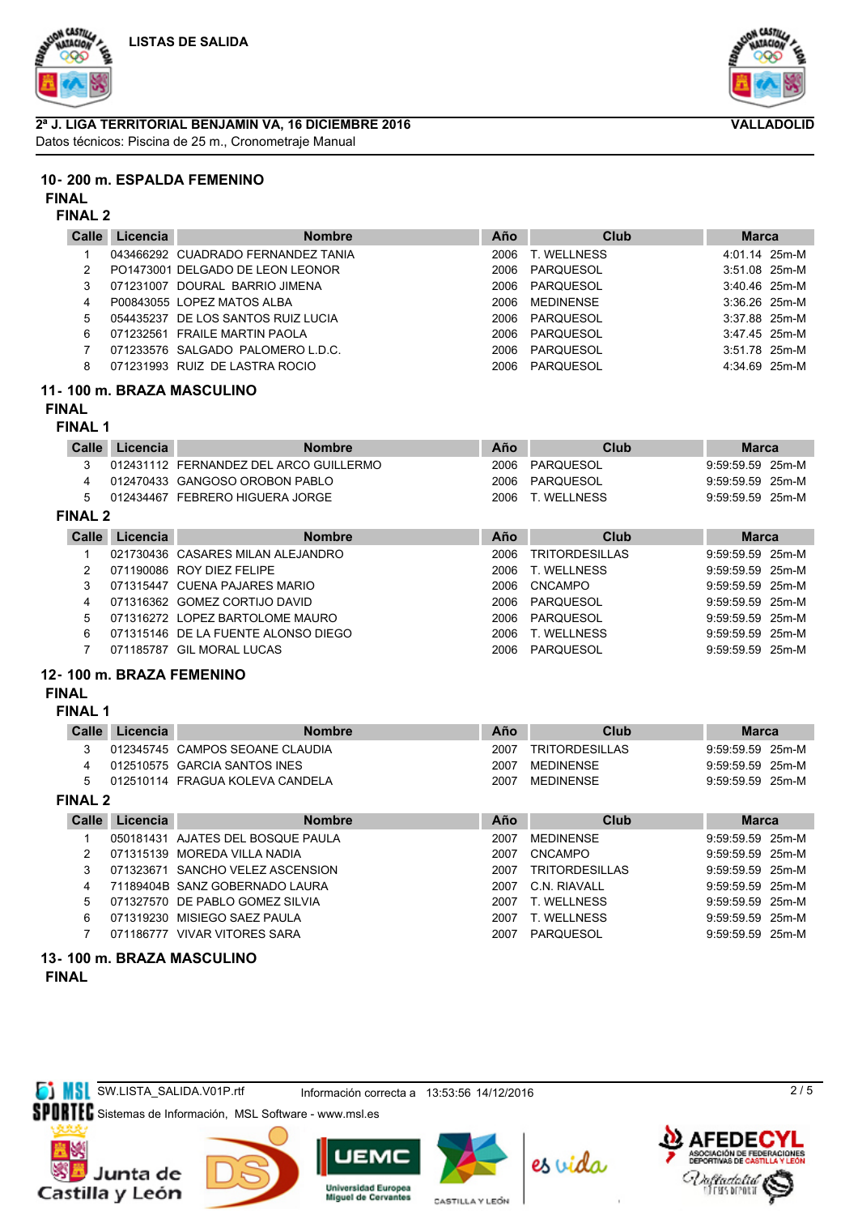





# **2ª J. LIGA TERRITORIAL BENJAMIN VA, 16 DICIEMBRE 2016**

Datos técnicos: Piscina de 25 m., Cronometraje Manual

## **10- 200 m. ESPALDA FEMENINO**

#### **FINAL**

## **FINAL 2**

| Calle | Licencia  | <b>Nombre</b>                      | Año  | Club        | <b>Marca</b>    |
|-------|-----------|------------------------------------|------|-------------|-----------------|
|       |           | 043466292 CUADRADO FERNANDEZ TANIA | 2006 | T. WELLNESS | 4:01.14 25m-M   |
|       |           | PO1473001 DELGADO DE LEON LEONOR   | 2006 | PARQUESOL   | $3:51.08$ 25m-M |
| 3     | 071231007 | DOURAL BARRIO JIMENA               | 2006 | PAROUESOL   | $3:40.46$ 25m-M |
| 4     |           | P00843055 LOPEZ MATOS ALBA         | 2006 | MEDINENSE   | $3:36.26$ 25m-M |
| 5.    |           | 054435237 DE LOS SANTOS RUIZ LUCIA | 2006 | PARQUESOL   | $3:37.88$ 25m-M |
| 6     |           | 071232561 FRAILE MARTIN PAOLA      | 2006 | PARQUESOL   | 3:47.45 25m-M   |
|       |           | 071233576 SALGADO PALOMERO L.D.C.  | 2006 | PARQUESOL   | $3:51.78$ 25m-M |
| 8     |           | 071231993 RUIZ DE LASTRA ROCIO     | 2006 | PARQUESOL   | 4:34.69 25m-M   |
|       |           |                                    |      |             |                 |

## **11- 100 m. BRAZA MASCULINO**

# **FINAL**

## **FINAL 1**

| Calle          | Licencia | <b>Nombre</b>                          | Año  | Club                  | <b>Marca</b>       |
|----------------|----------|----------------------------------------|------|-----------------------|--------------------|
|                |          | 012431112 FERNANDEZ DEL ARCO GUILLERMO | 2006 | PARQUESOL             | $9:59:59.59$ 25m-M |
|                |          | 012470433 GANGOSO OROBON PABLO         | 2006 | PARQUESOL             | $9:59:59.59$ 25m-M |
| 5              |          | 012434467 FEBRERO HIGUERA JORGE        |      | 2006 T. WELLNESS      | $9:59:59.59$ 25m-M |
| <b>FINAL 2</b> |          |                                        |      |                       |                    |
| Calle          | Licencia | <b>Nombre</b>                          | Año  | Club                  | <b>Marca</b>       |
|                |          | 021730436 CASARES MILAN ALEJANDRO      | 2006 | <b>TRITORDESILLAS</b> | $9:59:59.59$ 25m-M |
|                |          | 071190086 ROY DIEZ FELIPE              | 2006 | <b>T. WELLNESS</b>    | $9:59:59.59$ 25m-M |

| 071190086 ROY DIEZ FELIPE     |      | 2006 T. WELLNESS | 9:59:59.59 25m-M |  |
|-------------------------------|------|------------------|------------------|--|
| 071315447 CUENA PAJARES MARIO | 2006 | CNCAMPO          | 9:59:59.59 25m-M |  |

4 071316362 GOMEZ CORTIJO DAVID 2006 PARQUESOL 9:59:59.59 25m-M

5 071316272 LOPEZ BARTOLOME MAURO 2006 PARQUESOL 9:59:59.59 25m-M

6 071315146 DE LA FUENTE ALONSO DIEGO 2006 T. WELLNESS 9:59:59.59 25m-M

7 071185787 GIL MORAL LUCAS 2006 PARQUESOL 9:59:59.59 25m-M

## **12- 100 m. BRAZA FEMENINO**

## **FINAL**

#### **FINAL 1**

| <b>Calle</b> | Licencia | <b>Nombre</b>                   | Año  | Club                  | <b>Marca</b>       |  |
|--------------|----------|---------------------------------|------|-----------------------|--------------------|--|
|              |          | 012345745 CAMPOS SEOANE CLAUDIA | 2007 | <b>TRITORDESILLAS</b> | $9:59:59.59$ 25m-M |  |
|              |          | 012510575 GARCIA SANTOS INES    | 2007 | MFDINFNSF             | $9:59:59.59$ 25m-M |  |
|              |          | 012510114 FRAGUA KOLEVA CANDELA | 2007 | MFDINFNSF             | $9:59:59.59$ 25m-M |  |
| -------      |          |                                 |      |                       |                    |  |

## **FINAL 2**

|   | Licencia | <b>Nombre</b>                     | Año   | Club                  | <b>Marca</b>       |  |
|---|----------|-----------------------------------|-------|-----------------------|--------------------|--|
|   |          | 050181431 AJATES DEL BOSQUE PAULA | 2007  | MEDINENSE             | $9:59:59.59$ 25m-M |  |
|   |          | 071315139 MOREDA VILLA NADIA      | 2007  | CNCAMPO               | $9:59:59.59$ 25m-M |  |
|   |          | 071323671 SANCHO VELEZ ASCENSION  | 2007  | <b>TRITORDESILLAS</b> | 9:59:59.59 25m-M   |  |
|   |          | 71189404B SANZ GOBERNADO LAURA    | 2007. | C.N. RIAVALL          | $9:59:59.59$ 25m-M |  |
| 5 |          | 071327570 DE PABLO GOMEZ SILVIA   | 2007  | T. WELLNESS           | $9:59:59.59$ 25m-M |  |
| 6 |          | 071319230 MISIEGO SAEZ PAULA      | 2007  | T. WELLNESS           | $9:59:59.59$ 25m-M |  |
|   |          | 071186777 VIVAR VITORES SARA      | 2007  | PAROUESOL             | $9:59:59.59$ 25m-M |  |

#### **13- 100 m. BRAZA MASCULINO FINAL**

**SW.LISTA\_SALIDA.V01P.rtf** Información correcta a 13:53:56 14/12/2016

SPORTEC Sistemas de Información, MSL Software - www.msl.es







**Universidad Europea Miquel de Cervantes** CASTILLA Y LEÓN



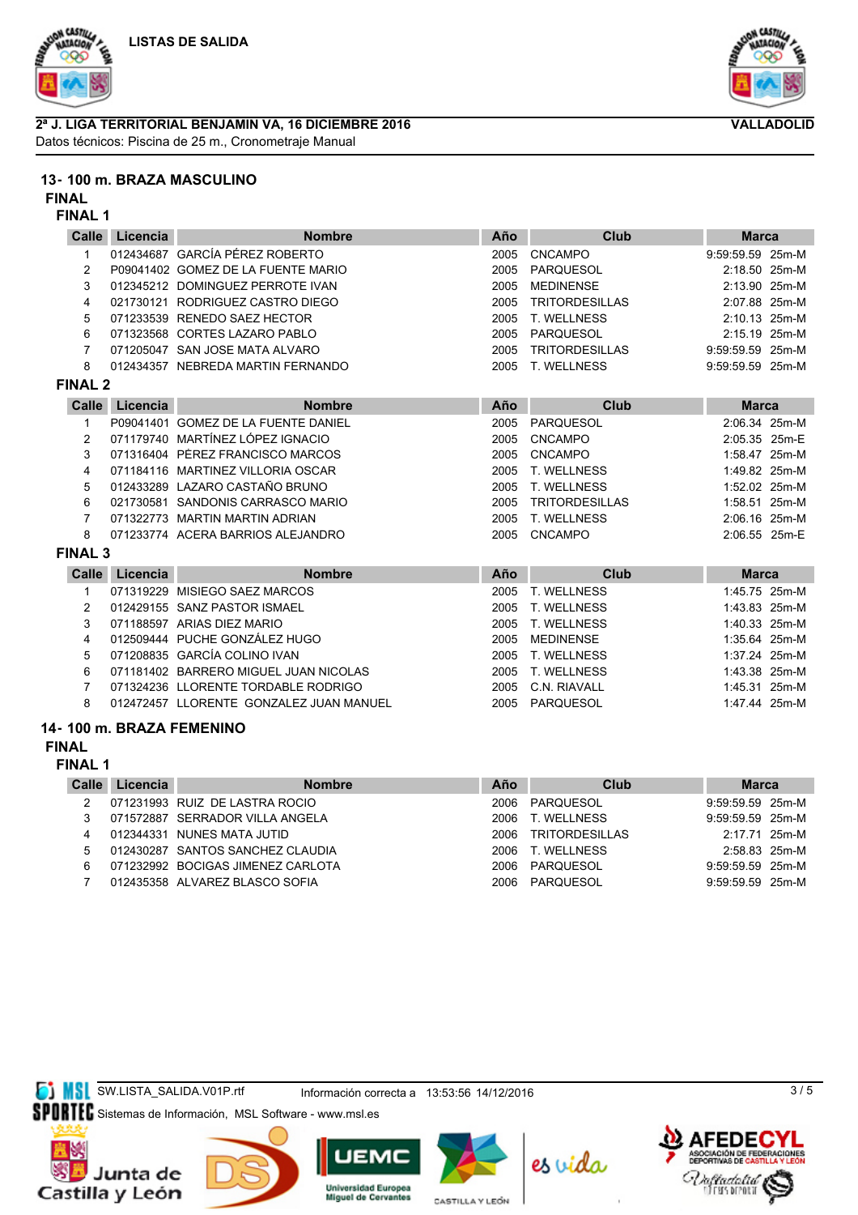





## **13- 100 m. BRAZA MASCULINO**

**FINAL**

## **FINAL 1**

| Calle          | Licencia | <b>Nombre</b>                           | Año  | Club                  | <b>Marca</b>     |
|----------------|----------|-----------------------------------------|------|-----------------------|------------------|
| 1              |          | 012434687 GARCÍA PÉREZ ROBERTO          | 2005 | <b>CNCAMPO</b>        | 9:59:59.59 25m-M |
| $\overline{c}$ |          | P09041402 GOMEZ DE LA FUENTE MARIO      | 2005 | <b>PARQUESOL</b>      | 2:18.50 25m-M    |
| 3              |          | 012345212 DOMINGUEZ PERROTE IVAN        | 2005 | <b>MEDINENSE</b>      | 2:13.90 25m-M    |
| 4              |          | 021730121 RODRIGUEZ CASTRO DIEGO        | 2005 | <b>TRITORDESILLAS</b> | 2:07.88 25m-M    |
| 5              |          | 071233539 RENEDO SAEZ HECTOR            | 2005 | <b>T. WELLNESS</b>    | 2:10.13 25m-M    |
| 6              |          | 071323568 CORTES LAZARO PABLO           | 2005 | PARQUESOL             | 2:15.19 25m-M    |
| 7              |          | 071205047 SAN JOSE MATA ALVARO          | 2005 | <b>TRITORDESILLAS</b> | 9:59:59.59 25m-M |
| 8              |          | 012434357 NEBREDA MARTIN FERNANDO       | 2005 | T. WELLNESS           | 9:59:59.59 25m-M |
| <b>FINAL 2</b> |          |                                         |      |                       |                  |
| <b>Calle</b>   | Licencia | <b>Nombre</b>                           | Año  | <b>Club</b>           | <b>Marca</b>     |
|                |          | P09041401 GOMEZ DE LA FUENTE DANIEL     | 2005 | <b>PARQUESOL</b>      | 2:06.34 25m-M    |
| 2              |          | 071179740 MARTÍNEZ LÓPEZ IGNACIO        | 2005 | <b>CNCAMPO</b>        | 2:05.35 25m-E    |
| 3              |          | 071316404 PÉREZ FRANCISCO MARCOS        | 2005 | <b>CNCAMPO</b>        | 1:58.47 25m-M    |
| 4              |          | 071184116 MARTINEZ VILLORIA OSCAR       | 2005 | T. WELLNESS           | 1:49.82 25m-M    |
| 5              |          | 012433289 LAZARO CASTAÑO BRUNO          | 2005 | <b>T. WELLNESS</b>    | 1:52.02 25m-M    |
| 6              |          | 021730581 SANDONIS CARRASCO MARIO       | 2005 | <b>TRITORDESILLAS</b> | 1:58.51 25m-M    |
| 7              |          | 071322773 MARTIN MARTIN ADRIAN          | 2005 | <b>T. WELLNESS</b>    | 2:06.16 25m-M    |
| 8              |          | 071233774 ACERA BARRIOS ALEJANDRO       | 2005 | <b>CNCAMPO</b>        | 2:06.55 25m-E    |
| <b>FINAL 3</b> |          |                                         |      |                       |                  |
| Calle          | Licencia | <b>Nombre</b>                           | Año  | Club                  | <b>Marca</b>     |
| 1              |          | 071319229 MISIEGO SAEZ MARCOS           | 2005 | <b>T. WELLNESS</b>    | 1:45.75 25m-M    |
| 2              |          | 012429155 SANZ PASTOR ISMAEL            | 2005 | <b>T. WELLNESS</b>    | 1:43.83 25m-M    |
| 3              |          | 071188597 ARIAS DIEZ MARIO              | 2005 | T. WELLNESS           | 1:40.33 25m-M    |
| 4              |          | 012509444 PUCHE GONZÁLEZ HUGO           | 2005 | <b>MEDINENSE</b>      | 1:35.64 25m-M    |
| 5              |          | 071208835 GARCÍA COLINO IVAN            | 2005 | T. WELLNESS           | 1:37.24 25m-M    |
| 6              |          | 071181402 BARRERO MIGUEL JUAN NICOLAS   | 2005 | <b>T. WELLNESS</b>    | 1:43.38 25m-M    |
| 7              |          | 071324236 LLORENTE TORDABLE RODRIGO     | 2005 | C.N. RIAVALL          | 1:45.31 25m-M    |
| 8              |          | 012472457 LLORENTE GONZALEZ JUAN MANUEL | 2005 | PARQUESOL             | 1:47.44 25m-M    |
|                |          | 100 m RRAZA FEMENINO                    |      |                       |                  |

## **14- 100 m. BRAZA FEMENINO**

## **FINAL**

**FINAL 1**

| Calle | Licencia | <b>Nombre</b>                     | Año  | Club                  | <b>Marca</b>       |  |
|-------|----------|-----------------------------------|------|-----------------------|--------------------|--|
|       |          | 071231993 RUIZ DE LASTRA ROCIO    | 2006 | PARQUESOL             | $9:59:59.59$ 25m-M |  |
|       |          | 071572887 SERRADOR VILLA ANGELA   | 2006 | T. WELLNESS           | 9:59:59.59 25m-M   |  |
| 4     |          | 012344331 NUNES MATA JUTID        | 2006 | <b>TRITORDESILLAS</b> | 2:17.71 25m-M      |  |
| 5     |          | 012430287 SANTOS SANCHEZ CLAUDIA  | 2006 | T. WELLNESS           | 2:58.83 25m-M      |  |
|       |          | 071232992 BOCIGAS JIMENEZ CARLOTA |      | 2006 PAROUESOL        | 9:59:59.59 25m-M   |  |
|       |          | 012435358 ALVAREZ BLASCO SOFIA    |      | 2006 PAROUESOL        | $9:59:59.59$ 25m-M |  |
|       |          |                                   |      |                       |                    |  |

**SI MSL** SW.LISTA\_SALIDA.V01P.rtf Información correcta a 13:53:56 14/12/2016

SPORTEC Sistemas de Información, MSL Software - www.msl.es











es vida



 $3/5$ 



**VALLADOLID**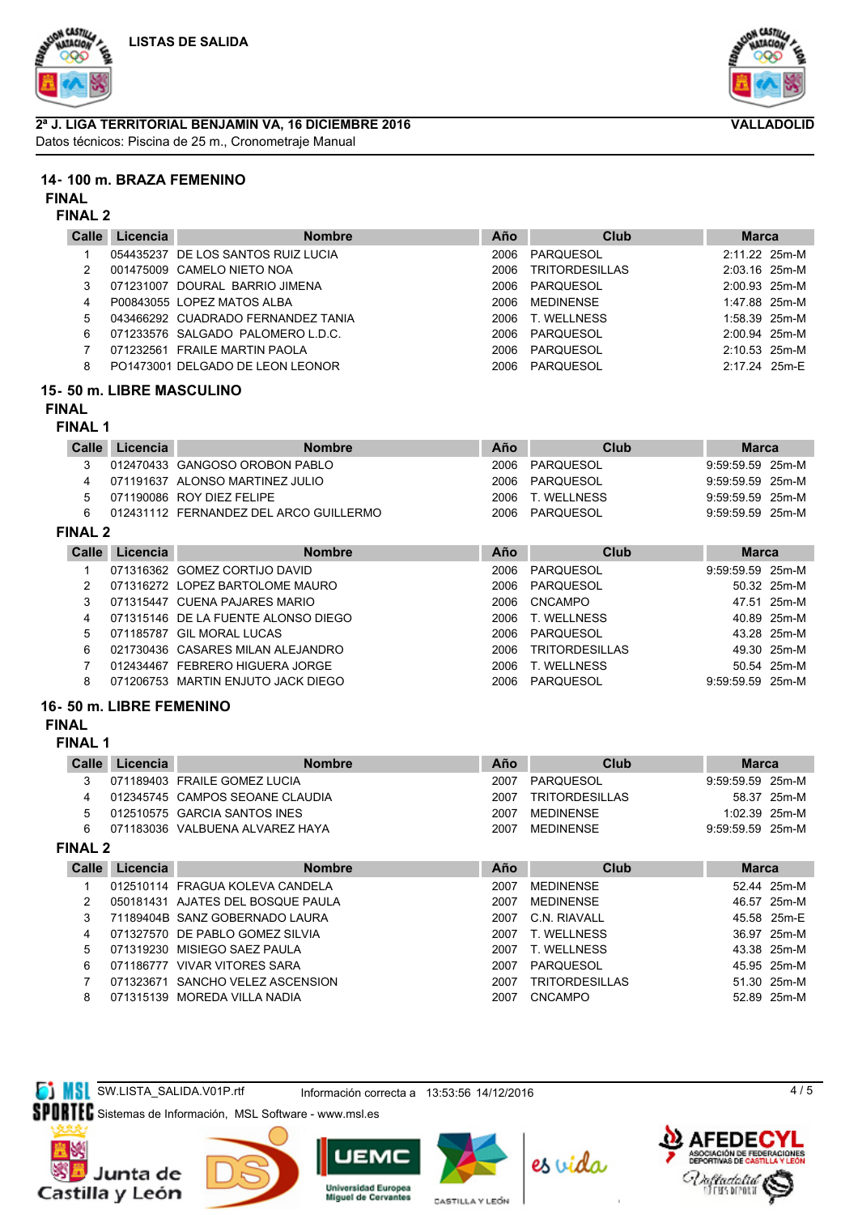





**14- 100 m. BRAZA FEMENINO**

**FINAL**

## **FINAL 2**

| Calle | Licencia | <b>Nombre</b>                      | Año  | Club                  | <b>Marca</b>    |
|-------|----------|------------------------------------|------|-----------------------|-----------------|
|       |          | 054435237 DE LOS SANTOS RUIZ LUCIA | 2006 | PARQUESOL             | 2:11.22 25m-M   |
|       |          | 001475009 CAMELO NIETO NOA         | 2006 | <b>TRITORDESILLAS</b> | $2:03.16$ 25m-M |
| 3     |          | 071231007 DOURAL BARRIO JIMENA     | 2006 | PAROUESOL             | 2:00.93 25m-M   |
| 4     |          | P00843055 LOPEZ MATOS ALBA         | 2006 | MEDINENSE             | 1:47.88 25m-M   |
| 5     |          | 043466292 CUADRADO FERNANDEZ TANIA | 2006 | T. WELLNESS           | $1:58.39$ 25m-M |
| 6     |          | 071233576 SALGADO PALOMERO L.D.C.  | 2006 | PARQUESOL             | 2:00.94 25m-M   |
|       |          | 071232561 FRAILE MARTIN PAOLA      | 2006 | PARQUESOL             | $2:10.53$ 25m-M |
| 8     |          | PO1473001 DELGADO DE LEON LEONOR   | 2006 | PAROUESOL             | 2:17.24 25m-E   |

## **15- 50 m. LIBRE MASCULINO**

# **FINAL**

## **FINAL 1**

| Calle          |   | Licencia |                                        | <b>Nombre</b> | Año  | Club        | <b>Marca</b>       |             |
|----------------|---|----------|----------------------------------------|---------------|------|-------------|--------------------|-------------|
|                |   |          | 012470433 GANGOSO OROBON PABLO         |               | 2006 | PAROUESOL   | 9:59:59.59 25m-M   |             |
|                |   |          | 071191637 ALONSO MARTINEZ JULIO        |               | 2006 | PAROUESOL   | $9:59:59.59$ 25m-M |             |
|                | 5 |          | 071190086 ROY DIEZ FELIPE              |               | 2006 | T. WELLNESS | $9:59:59.59$ 25m-M |             |
|                | 6 |          | 012431112 FERNANDEZ DEL ARCO GUILLERMO |               | 2006 | PAROUESOL   | $9:59:59.59$ 25m-M |             |
| <b>FINAL 2</b> |   |          |                                        |               |      |             |                    |             |
| Calle          |   | Licencia |                                        | <b>Nombre</b> | Año  | Club        | <b>Marca</b>       |             |
|                |   |          | 071316362 GOMEZ CORTIJO DAVID          |               | 2006 | PARQUESOL   | $9:59:59.59$ 25m-M |             |
|                |   |          | 071316272 LOPEZ BARTOLOME MAURO        |               | 2006 | PARQUESOL   |                    | 50.32 25m-M |

|    | 071315447 CUENA PAJARES MARIO       | 2006 CNCAMPO        |                  | 47.51 25m-M |
|----|-------------------------------------|---------------------|------------------|-------------|
| 4  | 071315146 DE LA FUENTE ALONSO DIEGO | 2006 T. WELLNESS    |                  | 40.89 25m-M |
| 5. | 071185787 GIL MORAL LUCAS           | 2006 PARQUESOL      |                  | 43.28 25m-M |
| 6  | 021730436 CASARES MILAN ALEJANDRO   | 2006 TRITORDESILLAS |                  | 49.30 25m-M |
|    | 012434467 FEBRERO HIGUERA JORGE     | 2006 T. WELLNESS    |                  | 50.54 25m-M |
|    | 071206753 MARTIN ENJUTO JACK DIEGO  | 2006 PARQUESOL      | 9:59:59.59 25m-M |             |
|    |                                     |                     |                  |             |

## **16- 50 m. LIBRE FEMENINO**

## **FINAL**

**FINAL 1**

| Calle    | Licencia | <b>Nombre</b>                   | Año  | Club                  | <b>Marca</b>       |             |
|----------|----------|---------------------------------|------|-----------------------|--------------------|-------------|
|          |          | 071189403 FRAILE GOMEZ LUCIA    | 2007 | PAROUESOL             | $9:59:59.59$ 25m-M |             |
|          |          | 012345745 CAMPOS SEOANE CLAUDIA | 2007 | <b>TRITORDESILLAS</b> |                    | 58.37 25m-M |
|          |          | 012510575 GARCIA SANTOS INES    | 2007 | MEDINENSE             | $1:02.39$ 25m-M    |             |
|          |          | 071183036 VALBUENA ALVAREZ HAYA | 2007 | MEDINENSE             | $9:59:59.59$ 25m-M |             |
| FILIAI O |          |                                 |      |                       |                    |             |

## **FINAL 2**

| <b>Calle</b> | Licencia | <b>Nombre</b>                     | Año  | Club                  | <b>Marca</b> |  |
|--------------|----------|-----------------------------------|------|-----------------------|--------------|--|
|              |          | 012510114 FRAGUA KOLEVA CANDELA   | 2007 | MEDINENSE             | 52.44 25m-M  |  |
|              |          | 050181431 AJATES DEL BOSQUE PAULA | 2007 | MEDINENSE             | 46.57 25m-M  |  |
|              |          | 71189404B SANZ GOBERNADO LAURA    | 2007 | C.N. RIAVALL          | 45.58 25m-E  |  |
| 4            |          | 071327570 DE PABLO GOMEZ SILVIA   | 2007 | T. WELLNESS           | 36.97 25m-M  |  |
| 5.           |          | 071319230 MISIEGO SAEZ PAULA      | 2007 | T. WELLNESS           | 43.38 25m-M  |  |
| 6            |          | 071186777 VIVAR VITORES SARA      | 2007 | PARQUESOL             | 45.95 25m-M  |  |
|              |          | 071323671 SANCHO VELEZ ASCENSION  | 2007 | <b>TRITORDESILLAS</b> | 51.30 25m-M  |  |
| 8            |          | 071315139 MOREDA VILLA NADIA      | 2007 | <b>CNCAMPO</b>        | 52.89 25m-M  |  |

**SI MSL** SW.LISTA\_SALIDA.V01P.rtf Información correcta a 13:53:56 14/12/2016

SPORTEC Sistemas de Información, MSL Software - www.msl.es













4 / 5